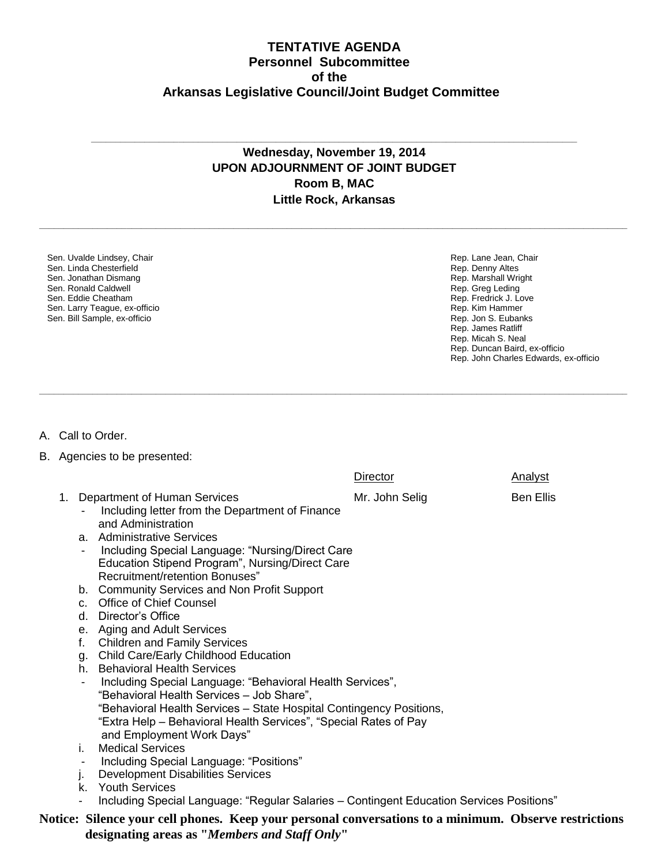## **TENTATIVE AGENDA Personnel Subcommittee of the Arkansas Legislative Council/Joint Budget Committee**

## **Wednesday, November 19, 2014 UPON ADJOURNMENT OF JOINT BUDGET Room B, MAC Little Rock, Arkansas**

**\_\_\_\_\_\_\_\_\_\_\_\_\_\_\_\_\_\_\_\_\_\_\_\_\_\_\_\_\_\_\_\_\_\_\_\_\_\_\_\_\_\_\_\_\_\_\_\_\_\_\_\_\_\_\_\_\_\_\_\_\_\_\_\_\_\_\_\_\_\_\_\_\_\_\_\_\_\_\_\_\_\_\_\_\_\_\_\_\_\_\_\_\_\_\_\_\_\_\_\_\_\_\_\_\_\_\_\_\_\_\_\_\_\_\_\_\_\_\_\_\_**

**\_\_\_\_\_\_\_\_\_\_\_\_\_\_\_\_\_\_\_\_\_\_\_\_\_\_\_\_\_\_\_\_\_\_\_\_\_\_\_\_\_\_\_\_\_\_\_\_\_\_\_\_\_\_\_\_\_\_\_\_\_\_\_\_\_\_\_\_\_\_\_\_\_\_\_\_\_\_\_\_\_\_\_\_\_\_\_\_\_\_\_\_\_\_\_\_\_\_\_\_\_\_\_\_\_\_\_\_\_\_\_\_\_\_\_\_\_\_\_\_\_**

**\_\_\_\_\_\_\_\_\_\_\_\_\_\_\_\_\_\_\_\_\_\_\_\_\_\_\_\_\_\_\_\_\_\_\_\_\_\_\_\_\_\_\_\_\_\_\_\_\_\_\_\_\_\_\_\_\_\_\_\_\_\_\_\_\_\_\_\_\_\_\_\_\_\_\_\_\_\_\_\_\_\_\_\_\_\_\_\_\_\_\_\_\_\_\_\_\_\_\_\_**

Sen. Uvalde Lindsey, Chair Sen. Linda Chesterfield Sen. Jonathan Dismang Sen. Ronald Caldwell Sen. Eddie Cheatham Sen. Larry Teague, ex-officio Sen. Bill Sample, ex-officio

Rep. Lane Jean, Chair Rep. Denny Altes Rep. Marshall Wright Rep. Greg Leding Rep. Fredrick J. Love Rep. Kim Hammer Rep. Jon S. Eubanks Rep. James Ratliff Rep. Micah S. Neal Rep. Duncan Baird, ex-officio Rep. John Charles Edwards, ex-officio

## A. Call to Order.

B. Agencies to be presented:

|                                                                                                                                                                     | Director                                                                                                                                                                                                                                                                                                                                                                | <b>Analyst</b>                                                                                                                                                                                                                                                                                                                                                                                          |  |  |  |
|---------------------------------------------------------------------------------------------------------------------------------------------------------------------|-------------------------------------------------------------------------------------------------------------------------------------------------------------------------------------------------------------------------------------------------------------------------------------------------------------------------------------------------------------------------|---------------------------------------------------------------------------------------------------------------------------------------------------------------------------------------------------------------------------------------------------------------------------------------------------------------------------------------------------------------------------------------------------------|--|--|--|
| Including letter from the Department of Finance<br>and Administration<br>Recruitment/retention Bonuses"<br>Director's Office<br><b>Children and Family Services</b> | Mr. John Selig                                                                                                                                                                                                                                                                                                                                                          | <b>Ben Ellis</b>                                                                                                                                                                                                                                                                                                                                                                                        |  |  |  |
|                                                                                                                                                                     |                                                                                                                                                                                                                                                                                                                                                                         |                                                                                                                                                                                                                                                                                                                                                                                                         |  |  |  |
| <b>Medical Services</b>                                                                                                                                             |                                                                                                                                                                                                                                                                                                                                                                         |                                                                                                                                                                                                                                                                                                                                                                                                         |  |  |  |
| Including Special Language: "Positions"                                                                                                                             |                                                                                                                                                                                                                                                                                                                                                                         |                                                                                                                                                                                                                                                                                                                                                                                                         |  |  |  |
| <b>Development Disabilities Services</b>                                                                                                                            |                                                                                                                                                                                                                                                                                                                                                                         |                                                                                                                                                                                                                                                                                                                                                                                                         |  |  |  |
| <b>Youth Services</b>                                                                                                                                               |                                                                                                                                                                                                                                                                                                                                                                         |                                                                                                                                                                                                                                                                                                                                                                                                         |  |  |  |
|                                                                                                                                                                     |                                                                                                                                                                                                                                                                                                                                                                         |                                                                                                                                                                                                                                                                                                                                                                                                         |  |  |  |
| Notice: Silence your cell phones. Keep your personal conversations to a minimum. Observe restrictions                                                               |                                                                                                                                                                                                                                                                                                                                                                         |                                                                                                                                                                                                                                                                                                                                                                                                         |  |  |  |
|                                                                                                                                                                     | 1. Department of Human Services<br>a. Administrative Services<br>b. Community Services and Non Profit Support<br>c. Office of Chief Counsel<br>$d_{\cdot}$<br>e. Aging and Adult Services<br>f.<br>g. Child Care/Early Childhood Education<br>h. Behavioral Health Services<br>"Behavioral Health Services - Job Share",<br>and Employment Work Days"<br>i.<br>j.<br>k. | Including Special Language: "Nursing/Direct Care<br>Education Stipend Program", Nursing/Direct Care<br>Including Special Language: "Behavioral Health Services",<br>"Behavioral Health Services - State Hospital Contingency Positions,<br>"Extra Help – Behavioral Health Services", "Special Rates of Pay<br>Including Special Language: "Regular Salaries - Contingent Education Services Positions" |  |  |  |

 **designating areas as "***Members and Staff Only***"**